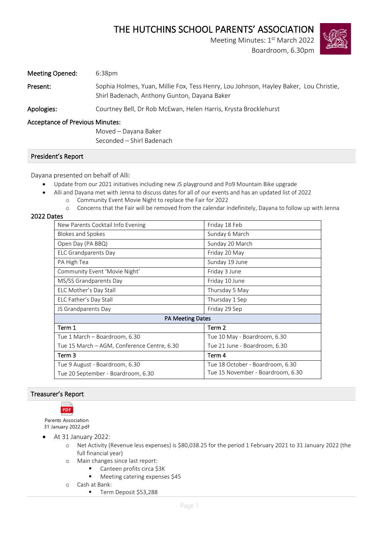# THE HUTCHINS SCHOOL PARENTS' ASSOCIATION

Meeting Minutes: 1st March 2022

Boardroom, 6.30pm



| Meeting Opened: | 6:38pm                                                                                                                                |
|-----------------|---------------------------------------------------------------------------------------------------------------------------------------|
| Present:        | Sophia Holmes, Yuan, Millie Fox, Tess Henry, Lou Johnson, Hayley Baker, Lou Christie,<br>Shirl Badenach, Anthony Gunton, Dayana Baker |
| Apologies:      | Courtney Bell, Dr Rob McEwan, Helen Harris, Krysta Brocklehurst                                                                       |

## Acceptance of Previous Minutes:

Moved – Dayana Baker Seconded – Shirl Badenach

#### President's Report

Dayana presented on behalf of Alli:

- Update from our 2021 initiatives including new JS playground and Po9 Mountain Bike upgrade
- Alli and Dayana met with Jenna to discuss dates for all of our events and has an updated list of 2022 o Community Event Movie Night to replace the Fair for 2022
	- o Concerns that the Fair will be removed from the calendar indefinitely, Dayana to follow up with Jenna

### 2022 Dates

| New Parents Cocktail Info Evening           | Friday 18 Feb                     |  |  |  |  |
|---------------------------------------------|-----------------------------------|--|--|--|--|
| Blokes and Spokes                           | Sunday 6 March                    |  |  |  |  |
| Open Day (PA BBQ)                           | Sunday 20 March                   |  |  |  |  |
| <b>ELC Grandparents Day</b>                 | Friday 20 May                     |  |  |  |  |
| PA High Tea                                 | Sunday 19 June                    |  |  |  |  |
| Community Event 'Movie Night'               | Friday 3 June                     |  |  |  |  |
| MS/SS Grandparents Day                      | Friday 10 June                    |  |  |  |  |
| ELC Mother's Day Stall                      | Thursday 5 May                    |  |  |  |  |
| ELC Father's Day Stall                      | Thursday 1 Sep                    |  |  |  |  |
| JS Grandparents Day                         | Friday 29 Sep                     |  |  |  |  |
| <b>PA Meeting Dates</b>                     |                                   |  |  |  |  |
| Term 1                                      | Term 2                            |  |  |  |  |
| Tue 1 March - Boardroom, 6.30               | Tue 10 May - Boardroom, 6.30      |  |  |  |  |
| Tue 15 March – AGM, Conference Centre, 6.30 | Tue 21 June - Boardroom, 6.30     |  |  |  |  |
| Term 3                                      | Term 4                            |  |  |  |  |
| Tue 9 August - Boardroom, 6.30              | Tue 18 October - Boardroom, 6.30  |  |  |  |  |
| Tue 20 September - Boardroom, 6.30          | Tue 15 November - Boardroom, 6.30 |  |  |  |  |

### Treasurer's Report



Parents Association 31 January 2022.pdf

- At 31 January 2022:
	- o Net Activity (Revenue less expenses) is \$80,038.25 for the period 1 February 2021 to 31 January 2022 (the full financial year)
	- o Main changes since last report:
		- Canteen profits circa \$3K
		- Meeting catering expenses \$45
	- o Cash at Bank:
		- Term Deposit \$53,288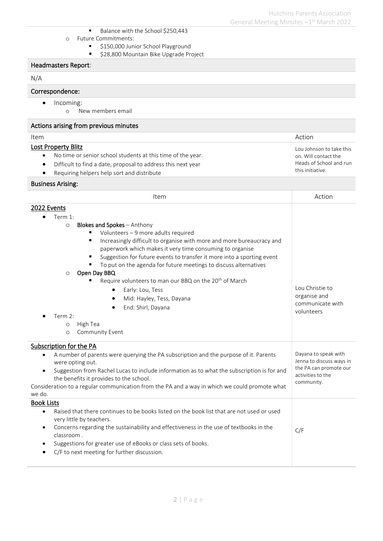Lou Johnson to take this on. Will contact the Heads of School and run

this initiative.

- Balance with the School \$250,443
- o Future Commitments:
	- \$150,000 Junior School Playground
	- \$28,800 Mountain Bike Upgrade Project

### Headmasters Report:

#### N/A

# Correspondence:

- Incoming:
	- o New members email

#### Actions arising from previous minutes

| Item | Action |
|------|--------|
|      |        |

Lost Property Blitz

- No time or senior school students at this time of the year.
- Difficult to find a date, proposal to address this next year
- Requiring helpers help sort and distribute

## Business Arising:

| Item                                                                                                    | Action                                             |
|---------------------------------------------------------------------------------------------------------|----------------------------------------------------|
| 2022 Events                                                                                             |                                                    |
| Term 1:                                                                                                 |                                                    |
| <b>Blokes and Spokes</b> - Anthony<br>$\circ$                                                           |                                                    |
| Volunteers - 9 more adults required                                                                     |                                                    |
| Increasingly difficult to organise with more and more bureaucracy and<br>٠                              |                                                    |
| paperwork which makes it very time consuming to organise                                                |                                                    |
| Suggestion for future events to transfer it more into a sporting event<br>٠                             |                                                    |
| To put on the agenda for future meetings to discuss alternatives<br>Open Day BBQ<br>$\circ$             |                                                    |
| Require volunteers to man our BBQ on the 20 <sup>th</sup> of March                                      |                                                    |
| Early: Lou, Tess                                                                                        | Lou Christie to                                    |
| Mid: Hayley, Tess, Dayana<br>$\bullet$                                                                  | organise and                                       |
| End: Shirl, Dayana                                                                                      | communicate with                                   |
| Term 2:                                                                                                 | volunteers                                         |
| High Tea<br>$\circ$                                                                                     |                                                    |
| Community Event<br>O                                                                                    |                                                    |
| Subscription for the PA                                                                                 |                                                    |
| A number of parents were querying the PA subscription and the purpose of it. Parents<br>$\bullet$       | Dayana to speak with                               |
| were opting out.                                                                                        | Jenna to discuss ways in<br>the PA can promote our |
| Suggestion from Rachel Lucas to include information as to what the subscription is for and<br>$\bullet$ | activities to the                                  |
| the benefits it provides to the school.                                                                 | community.                                         |
| Consideration to a regular communication from the PA and a way in which we could promote what<br>we do. |                                                    |
| <b>Book Lists</b>                                                                                       |                                                    |
| Raised that there continues to be books listed on the book list that are not used or used<br>$\bullet$  |                                                    |
| very little by teachers.                                                                                |                                                    |
| Concerns regarding the sustainability and effectiveness in the use of textbooks in the<br>$\bullet$     | C/F                                                |
| classroom.                                                                                              |                                                    |
| Suggestions for greater use of eBooks or class sets of books.<br>$\bullet$                              |                                                    |
| C/F to next meeting for further discussion.                                                             |                                                    |
|                                                                                                         |                                                    |